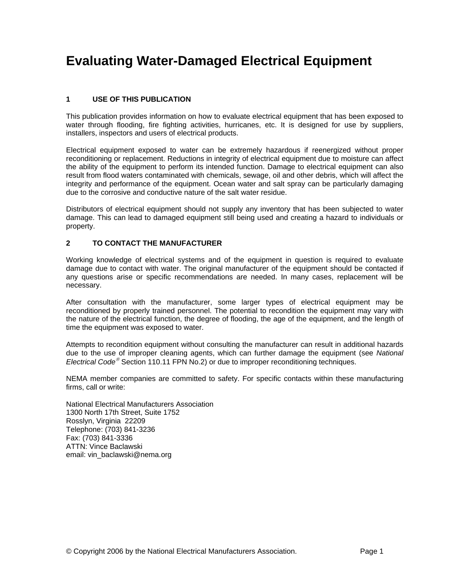# **Evaluating Water-Damaged Electrical Equipment**

# **1 USE OF THIS PUBLICATION**

This publication provides information on how to evaluate electrical equipment that has been exposed to water through flooding, fire fighting activities, hurricanes, etc. It is designed for use by suppliers, installers, inspectors and users of electrical products.

Electrical equipment exposed to water can be extremely hazardous if reenergized without proper reconditioning or replacement. Reductions in integrity of electrical equipment due to moisture can affect the ability of the equipment to perform its intended function. Damage to electrical equipment can also result from flood waters contaminated with chemicals, sewage, oil and other debris, which will affect the integrity and performance of the equipment. Ocean water and salt spray can be particularly damaging due to the corrosive and conductive nature of the salt water residue.

Distributors of electrical equipment should not supply any inventory that has been subjected to water damage. This can lead to damaged equipment still being used and creating a hazard to individuals or property.

# **2 TO CONTACT THE MANUFACTURER**

Working knowledge of electrical systems and of the equipment in question is required to evaluate damage due to contact with water. The original manufacturer of the equipment should be contacted if any questions arise or specific recommendations are needed. In many cases, replacement will be necessary.

After consultation with the manufacturer, some larger types of electrical equipment may be reconditioned by properly trained personnel. The potential to recondition the equipment may vary with the nature of the electrical function, the degree of flooding, the age of the equipment, and the length of time the equipment was exposed to water.

Attempts to recondition equipment without consulting the manufacturer can result in additional hazards due to the use of improper cleaning agents, which can further damage the equipment (see *National Electrical Code*<sup>®</sup> Section 110.11 FPN No.2) or due to improper reconditioning techniques.

NEMA member companies are committed to safety. For specific contacts within these manufacturing firms, call or write:

National Electrical Manufacturers Association 1300 North 17th Street, Suite 1752 Rosslyn, Virginia 22209 Telephone: (703) 841-3236 Fax: (703) 841-3336 ATTN: Vince Baclawski email: vin\_baclawski@nema.org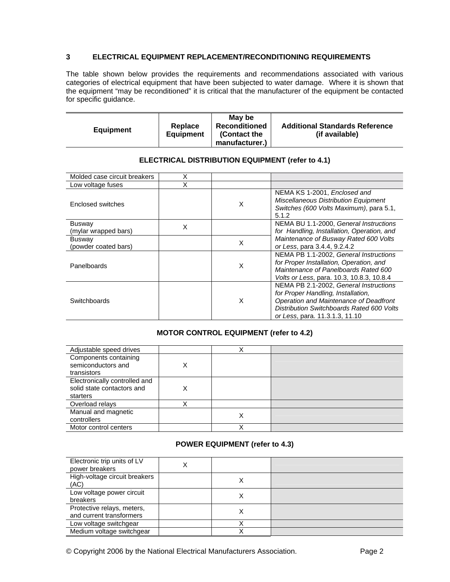#### **3 ELECTRICAL EQUIPMENT REPLACEMENT/RECONDITIONING REQUIREMENTS**

The table shown below provides the requirements and recommendations associated with various categories of electrical equipment that have been subjected to water damage. Where it is shown that the equipment "may be reconditioned" it is critical that the manufacturer of the equipment be contacted for specific guidance.

| <b>Equipment</b> | Replace<br>Equipment | May be<br><b>Reconditioned</b><br>(Contact the<br>manufacturer.) | <b>Additional Standards Reference</b><br>(if available) |
|------------------|----------------------|------------------------------------------------------------------|---------------------------------------------------------|
|------------------|----------------------|------------------------------------------------------------------|---------------------------------------------------------|

| Molded case circuit breakers          | X |   |                                                                                                                                                                                                       |
|---------------------------------------|---|---|-------------------------------------------------------------------------------------------------------------------------------------------------------------------------------------------------------|
| Low voltage fuses                     | X |   |                                                                                                                                                                                                       |
| Enclosed switches                     |   | X | NEMA KS 1-2001, Enclosed and<br><b>Miscellaneous Distribution Equipment</b><br>Switches (600 Volts Maximum), para 5.1,<br>5.1.2                                                                       |
| <b>Busway</b><br>(mylar wrapped bars) | X |   | NEMA BU 1.1-2000, General Instructions<br>for Handling, Installation, Operation, and                                                                                                                  |
| <b>Busway</b><br>(powder coated bars) |   | X | Maintenance of Busway Rated 600 Volts<br>or Less, para 3.4.4, 9.2.4.2                                                                                                                                 |
| Panelboards                           |   | X | NEMA PB 1.1-2002. General Instructions<br>for Proper Installation, Operation, and<br>Maintenance of Panelboards Rated 600<br>Volts or Less, para. 10.3, 10.8.3, 10.8.4                                |
| <b>Switchboards</b>                   |   | X | NEMA PB 2.1-2002, General Instructions<br>for Proper Handling, Installation,<br>Operation and Maintenance of Deadfront<br>Distribution Switchboards Rated 600 Volts<br>or Less, para. 11.3.1.3, 11.10 |

#### **ELECTRICAL DISTRIBUTION EQUIPMENT (refer to 4.1)**

# **MOTOR CONTROL EQUIPMENT (refer to 4.2)**

| Adjustable speed drives                                                 |   |   |  |
|-------------------------------------------------------------------------|---|---|--|
| Components containing<br>semiconductors and<br>transistors              | X |   |  |
|                                                                         |   |   |  |
| Electronically controlled and<br>solid state contactors and<br>starters | X |   |  |
| Overload relays                                                         |   |   |  |
| Manual and magnetic<br>controllers                                      |   | Χ |  |
| Motor control centers                                                   |   |   |  |

# **POWER EQUIPMENT (refer to 4.3)**

| Electronic trip units of LV<br>power breakers          | Χ |   |  |
|--------------------------------------------------------|---|---|--|
| High-voltage circuit breakers<br>(AC)                  |   |   |  |
| Low voltage power circuit<br>breakers                  |   |   |  |
| Protective relays, meters,<br>and current transformers |   | ⌒ |  |
| Low voltage switchgear                                 |   |   |  |
| Medium voltage switchgear                              |   |   |  |

© Copyright 2006 by the National Electrical Manufacturers Association. Page 2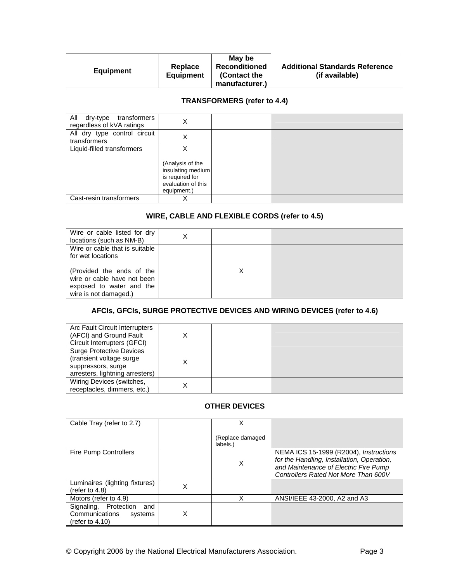# **TRANSFORMERS (refer to 4.4)**

| All dry-type<br>transformers<br>regardless of kVA ratings | Χ                                                                                                  |  |
|-----------------------------------------------------------|----------------------------------------------------------------------------------------------------|--|
| All dry type control circuit<br>transformers              | Χ                                                                                                  |  |
| Liquid-filled transformers                                | X<br>(Analysis of the<br>insulating medium<br>is required for<br>evaluation of this<br>equipment.) |  |
| Cast-resin transformers                                   | ∧                                                                                                  |  |

# **WIRE, CABLE AND FLEXIBLE CORDS (refer to 4.5)**

| Wire or cable listed for dry<br>locations (such as NM-B)                                                      | X |  |
|---------------------------------------------------------------------------------------------------------------|---|--|
| Wire or cable that is suitable<br>for wet locations                                                           |   |  |
| (Provided the ends of the<br>wire or cable have not been<br>exposed to water and the<br>wire is not damaged.) |   |  |

# **AFCIs, GFCIs, SURGE PROTECTIVE DEVICES AND WIRING DEVICES (refer to 4.6)**

| Arc Fault Circuit Interrupters<br>(AFCI) and Ground Fault<br>Circuit Interrupters (GFCI)                             | X |  |
|----------------------------------------------------------------------------------------------------------------------|---|--|
| <b>Surge Protective Devices</b><br>(transient voltage surge<br>suppressors, surge<br>arresters, lightning arresters) | X |  |
| Wiring Devices (switches,<br>receptacles, dimmers, etc.)                                                             | x |  |

#### **OTHER DEVICES**

| Cable Tray (refer to 2.7)                                                       |   |                               |                                                                                                                                                                       |
|---------------------------------------------------------------------------------|---|-------------------------------|-----------------------------------------------------------------------------------------------------------------------------------------------------------------------|
|                                                                                 |   | (Replace damaged)<br>labels.) |                                                                                                                                                                       |
| Fire Pump Controllers                                                           |   | X                             | NEMA ICS 15-1999 (R2004), Instructions<br>for the Handling, Installation, Operation,<br>and Maintenance of Electric Fire Pump<br>Controllers Rated Not More Than 600V |
| Luminaires (lighting fixtures)<br>(refer to $4.8$ )                             | Χ |                               |                                                                                                                                                                       |
| Motors (refer to 4.9)                                                           |   | x                             | ANSI/IEEE 43-2000, A2 and A3                                                                                                                                          |
| Signaling, Protection<br>and<br>Communications<br>systems<br>(refer to $4.10$ ) | х |                               |                                                                                                                                                                       |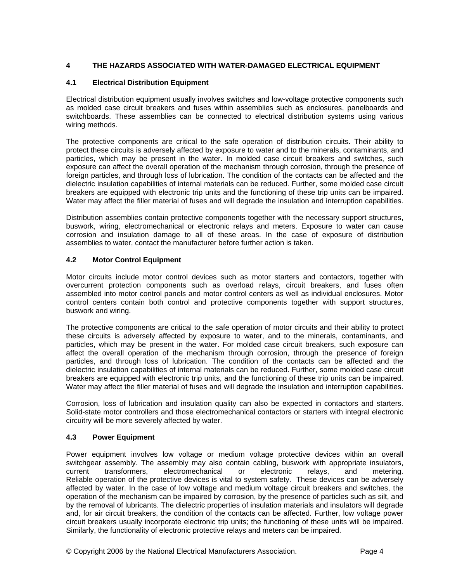# **4 THE HAZARDS ASSOCIATED WITH WATER-DAMAGED ELECTRICAL EQUIPMENT**

#### **4.1 Electrical Distribution Equipment**

Electrical distribution equipment usually involves switches and low-voltage protective components such as molded case circuit breakers and fuses within assemblies such as enclosures, panelboards and switchboards. These assemblies can be connected to electrical distribution systems using various wiring methods.

The protective components are critical to the safe operation of distribution circuits. Their ability to protect these circuits is adversely affected by exposure to water and to the minerals, contaminants, and particles, which may be present in the water. In molded case circuit breakers and switches, such exposure can affect the overall operation of the mechanism through corrosion, through the presence of foreign particles, and through loss of lubrication. The condition of the contacts can be affected and the dielectric insulation capabilities of internal materials can be reduced. Further, some molded case circuit breakers are equipped with electronic trip units and the functioning of these trip units can be impaired. Water may affect the filler material of fuses and will degrade the insulation and interruption capabilities.

Distribution assemblies contain protective components together with the necessary support structures, buswork, wiring, electromechanical or electronic relays and meters. Exposure to water can cause corrosion and insulation damage to all of these areas. In the case of exposure of distribution assemblies to water, contact the manufacturer before further action is taken.

# **4.2 Motor Control Equipment**

Motor circuits include motor control devices such as motor starters and contactors, together with overcurrent protection components such as overload relays, circuit breakers, and fuses often assembled into motor control panels and motor control centers as well as individual enclosures. Motor control centers contain both control and protective components together with support structures, buswork and wiring.

The protective components are critical to the safe operation of motor circuits and their ability to protect these circuits is adversely affected by exposure to water, and to the minerals, contaminants, and particles, which may be present in the water. For molded case circuit breakers, such exposure can affect the overall operation of the mechanism through corrosion, through the presence of foreign particles, and through loss of lubrication. The condition of the contacts can be affected and the dielectric insulation capabilities of internal materials can be reduced. Further, some molded case circuit breakers are equipped with electronic trip units, and the functioning of these trip units can be impaired. Water may affect the filler material of fuses and will degrade the insulation and interruption capabilities.

Corrosion, loss of lubrication and insulation quality can also be expected in contactors and starters. Solid-state motor controllers and those electromechanical contactors or starters with integral electronic circuitry will be more severely affected by water.

#### **4.3 Power Equipment**

Power equipment involves low voltage or medium voltage protective devices within an overall switchgear assembly. The assembly may also contain cabling, buswork with appropriate insulators, current transformers, electromechanical or electronic relays, and metering. Reliable operation of the protective devices is vital to system safety. These devices can be adversely affected by water. In the case of low voltage and medium voltage circuit breakers and switches, the operation of the mechanism can be impaired by corrosion, by the presence of particles such as silt, and by the removal of lubricants. The dielectric properties of insulation materials and insulators will degrade and, for air circuit breakers, the condition of the contacts can be affected. Further, low voltage power circuit breakers usually incorporate electronic trip units; the functioning of these units will be impaired. Similarly, the functionality of electronic protective relays and meters can be impaired.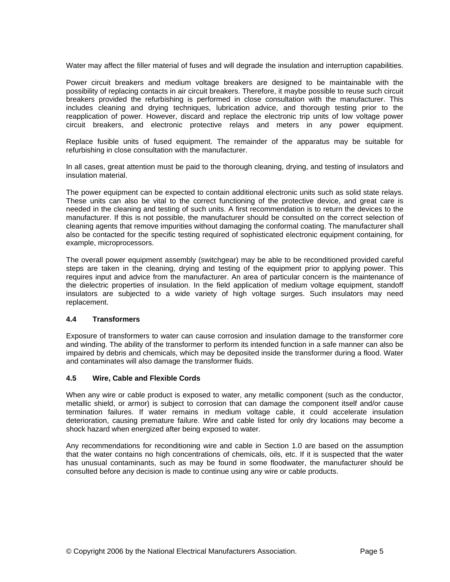Water may affect the filler material of fuses and will degrade the insulation and interruption capabilities.

Power circuit breakers and medium voltage breakers are designed to be maintainable with the possibility of replacing contacts in air circuit breakers. Therefore, it maybe possible to reuse such circuit breakers provided the refurbishing is performed in close consultation with the manufacturer. This includes cleaning and drying techniques, lubrication advice, and thorough testing prior to the reapplication of power. However, discard and replace the electronic trip units of low voltage power circuit breakers, and electronic protective relays and meters in any power equipment.

Replace fusible units of fused equipment. The remainder of the apparatus may be suitable for refurbishing in close consultation with the manufacturer.

In all cases, great attention must be paid to the thorough cleaning, drying, and testing of insulators and insulation material.

The power equipment can be expected to contain additional electronic units such as solid state relays. These units can also be vital to the correct functioning of the protective device, and great care is needed in the cleaning and testing of such units. A first recommendation is to return the devices to the manufacturer. If this is not possible, the manufacturer should be consulted on the correct selection of cleaning agents that remove impurities without damaging the conformal coating. The manufacturer shall also be contacted for the specific testing required of sophisticated electronic equipment containing, for example, microprocessors.

The overall power equipment assembly (switchgear) may be able to be reconditioned provided careful steps are taken in the cleaning, drying and testing of the equipment prior to applying power. This requires input and advice from the manufacturer. An area of particular concern is the maintenance of the dielectric properties of insulation. In the field application of medium voltage equipment, standoff insulators are subjected to a wide variety of high voltage surges. Such insulators may need replacement.

#### **4.4 Transformers**

Exposure of transformers to water can cause corrosion and insulation damage to the transformer core and winding. The ability of the transformer to perform its intended function in a safe manner can also be impaired by debris and chemicals, which may be deposited inside the transformer during a flood. Water and contaminates will also damage the transformer fluids.

#### **4.5 Wire, Cable and Flexible Cords**

When any wire or cable product is exposed to water, any metallic component (such as the conductor, metallic shield, or armor) is subject to corrosion that can damage the component itself and/or cause termination failures. If water remains in medium voltage cable, it could accelerate insulation deterioration, causing premature failure. Wire and cable listed for only dry locations may become a shock hazard when energized after being exposed to water.

Any recommendations for reconditioning wire and cable in Section 1.0 are based on the assumption that the water contains no high concentrations of chemicals, oils, etc. If it is suspected that the water has unusual contaminants, such as may be found in some floodwater, the manufacturer should be consulted before any decision is made to continue using any wire or cable products.